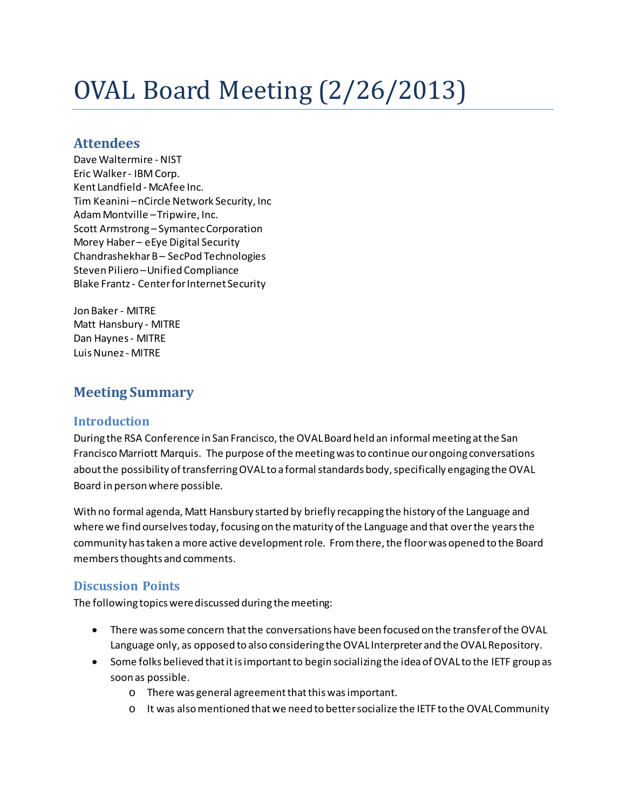# OVAL Board Meeting (2/26/2013)

## **Attendees**

Dave Waltermire - NIST Eric Walker- IBM Corp. Kent Landfield - McAfee Inc. Tim Keanini –nCircle Network Security, Inc Adam Montville –Tripwire, Inc. Scott Armstrong – Symantec Corporation Morey Haber – eEye Digital Security Chandrashekhar B – SecPod Technologies Steven Piliero –Unified Compliance Blake Frantz - Center for Internet Security

Jon Baker - MITRE Matt Hansbury - MITRE Dan Haynes- MITRE Luis Nunez - MITRE

## **Meeting Summary**

#### **Introduction**

During the RSA Conference in San Francisco, the OVAL Board held an informal meeting at the San Francisco Marriott Marquis. The purpose of the meeting was to continue our ongoing conversations about the possibility of transferring OVAL to a formal standards body, specifically engaging the OVAL Board in person where possible.

With no formal agenda, Matt Hansbury started by briefly recapping the history of the Language and where we find ourselves today, focusing on the maturity of the Language and that over the years the community has taken a more active development role. From there, the floor was opened to the Board members thoughts and comments.

### **Discussion Points**

The following topics were discussed during the meeting:

- There was some concern that the conversations have been focused on the transfer of the OVAL Language only, as opposed to also considering the OVAL Interpreter and the OVAL Repository.
- Some folks believed that it is important to begin socializing the idea of OVAL to the IETF group as soon as possible.
	- o There was general agreement that this was important.
	- o It was also mentioned that we need to better socialize the IETF to the OVAL Community